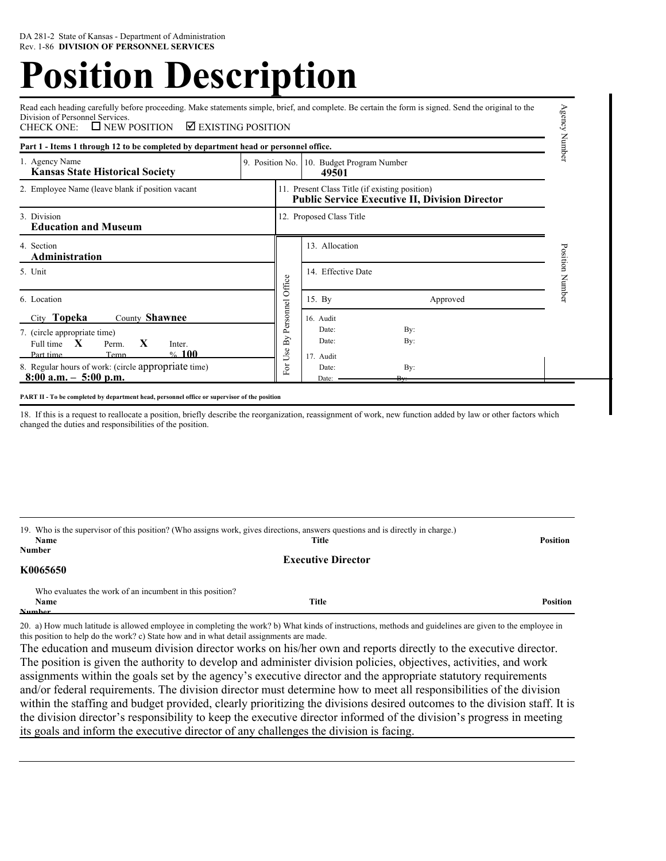# **Position Description**

Read each heading carefully before proceeding. Make statements simple, brief, and complete. Be certain the form is signed. Send the original to the Division of Personnel Services.<br>CHECK ONE:  $\Box$  NEW POSITION  $\nabla$  EXISTING POSITION

| Part 1 - Items 1 through 12 to be completed by department head or personnel office.                                                                                                                                                           |  |                                                                                                         |                                                                                 | qumN     |
|-----------------------------------------------------------------------------------------------------------------------------------------------------------------------------------------------------------------------------------------------|--|---------------------------------------------------------------------------------------------------------|---------------------------------------------------------------------------------|----------|
| 1. Agency Name<br><b>Kansas State Historical Society</b>                                                                                                                                                                                      |  |                                                                                                         | 9. Position No. 10. Budget Program Number<br>49501                              |          |
| 2. Employee Name (leave blank if position vacant                                                                                                                                                                                              |  | 11. Present Class Title (if existing position)<br><b>Public Service Executive II, Division Director</b> |                                                                                 |          |
| 3. Division<br><b>Education and Museum</b>                                                                                                                                                                                                    |  |                                                                                                         | 12. Proposed Class Title                                                        |          |
| 4. Section<br>Administration                                                                                                                                                                                                                  |  |                                                                                                         | 13. Allocation                                                                  | Position |
| 5. Unit                                                                                                                                                                                                                                       |  |                                                                                                         | 14. Effective Date                                                              | Number   |
| 6. Location                                                                                                                                                                                                                                   |  | Personnel Office                                                                                        | 15. By<br>Approved                                                              |          |
| County Shawnee<br>City Topeka<br>7. (circle appropriate time)<br>$\mathbf{X}$<br>$\mathbf{X}$<br>Full time<br>Perm.<br>Inter.<br>%100<br>Temn<br>Part time<br>8. Regular hours of work: (circle appropriate time)<br>$8:00$ a.m. $-5:00$ p.m. |  | Use $By$<br>For                                                                                         | 16. Audit<br>Date:<br>By:<br>Date:<br>By:<br>17. Audit<br>Date:<br>By:<br>Date: |          |

Agency Ni

18. If this is a request to reallocate a position, briefly describe the reorganization, reassignment of work, new function added by law or other factors which changed the duties and responsibilities of the position.

|               | 19. Who is the supervisor of this position? (Who assigns work, gives directions, answers questions and is directly in charge.) |                 |
|---------------|--------------------------------------------------------------------------------------------------------------------------------|-----------------|
| Name          | Title                                                                                                                          | <b>Position</b> |
| <b>Number</b> |                                                                                                                                |                 |
|               | <b>Executive Director</b>                                                                                                      |                 |
| K0065650      |                                                                                                                                |                 |

 Who evaluates the work of an incumbent in this position? **Name Title Position Number**

20. a) How much latitude is allowed employee in completing the work? b) What kinds of instructions, methods and guidelines are given to the employee in this position to help do the work? c) State how and in what detail assignments are made.

The education and museum division director works on his/her own and reports directly to the executive director. The position is given the authority to develop and administer division policies, objectives, activities, and work assignments within the goals set by the agency's executive director and the appropriate statutory requirements and/or federal requirements. The division director must determine how to meet all responsibilities of the division within the staffing and budget provided, clearly prioritizing the divisions desired outcomes to the division staff. It is the division director's responsibility to keep the executive director informed of the division's progress in meeting its goals and inform the executive director of any challenges the division is facing.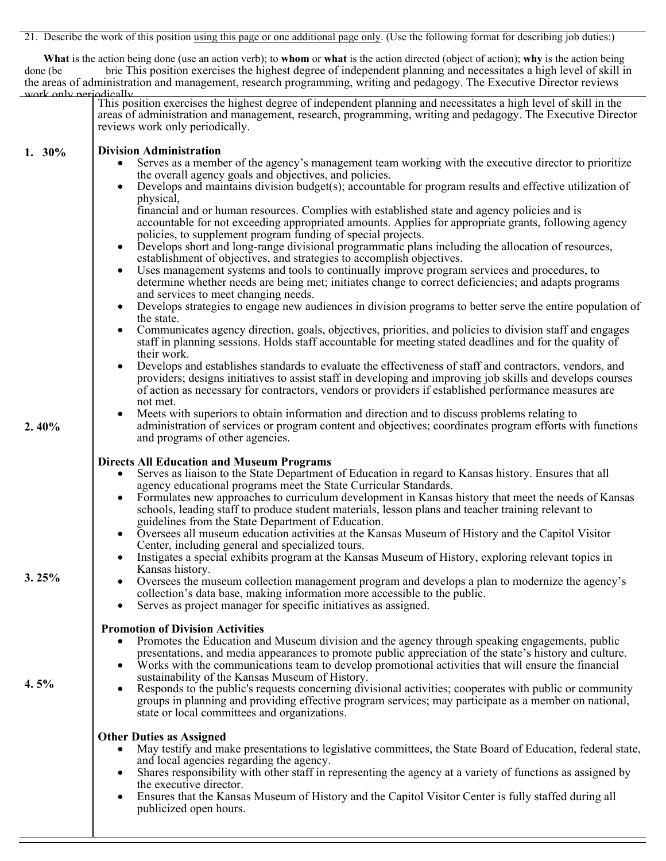21. Describe the work of this position using this page or one additional page only. (Use the following format for describing job duties:)

 **What** is the action being done (use an action verb); to **whom** or **what** is the action directed (object of action); **why** is the action being done (be brie This position exercises the highest degree of independent planning and necessitates a high level of skill in the areas of administration and management, research programming, writing and pedagogy. The Executive Director reviews

| work only neriodically |                                                                                                                                                                                                                                                                                                                                                                            |
|------------------------|----------------------------------------------------------------------------------------------------------------------------------------------------------------------------------------------------------------------------------------------------------------------------------------------------------------------------------------------------------------------------|
|                        | This position exercises the highest degree of independent planning and necessitates a high level of skill in the<br>areas of administration and management, research, programming, writing and pedagogy. The Executive Director<br>reviews work only periodically.                                                                                                         |
| 1. $30\%$              | <b>Division Administration</b>                                                                                                                                                                                                                                                                                                                                             |
|                        | Serves as a member of the agency's management team working with the executive director to prioritize<br>$\bullet$<br>the overall agency goals and objectives, and policies.<br>Develops and maintains division budget(s); accountable for program results and effective utilization of                                                                                     |
|                        | physical,<br>financial and or human resources. Complies with established state and agency policies and is<br>accountable for not exceeding appropriated amounts. Applies for appropriate grants, following agency<br>policies, to supplement program funding of special projects.                                                                                          |
|                        | Develops short and long-range divisional programmatic plans including the allocation of resources,<br>$\bullet$<br>establishment of objectives, and strategies to accomplish objectives.                                                                                                                                                                                   |
|                        | Uses management systems and tools to continually improve program services and procedures, to<br>determine whether needs are being met; initiates change to correct deficiencies; and adapts programs<br>and services to meet changing needs.                                                                                                                               |
|                        | Develops strategies to engage new audiences in division programs to better serve the entire population of<br>the state.                                                                                                                                                                                                                                                    |
|                        | Communicates agency direction, goals, objectives, priorities, and policies to division staff and engages<br>$\bullet$<br>staff in planning sessions. Holds staff accountable for meeting stated deadlines and for the quality of<br>their work.                                                                                                                            |
|                        | Develops and establishes standards to evaluate the effectiveness of staff and contractors, vendors, and<br>providers; designs initiatives to assist staff in developing and improving job skills and develops courses<br>of action as necessary for contractors, vendors or providers if established performance measures are<br>not met.                                  |
| 2.40%                  | Meets with superiors to obtain information and direction and to discuss problems relating to<br>administration of services or program content and objectives; coordinates program efforts with functions<br>and programs of other agencies.                                                                                                                                |
|                        | <b>Directs All Education and Museum Programs</b><br>Serves as liaison to the State Department of Education in regard to Kansas history. Ensures that all<br>agency educational programs meet the State Curricular Standards.                                                                                                                                               |
|                        | Formulates new approaches to curriculum development in Kansas history that meet the needs of Kansas<br>$\bullet$<br>schools, leading staff to produce student materials, lesson plans and teacher training relevant to<br>guidelines from the State Department of Education.                                                                                               |
|                        | Oversees all museum education activities at the Kansas Museum of History and the Capitol Visitor<br>Center, including general and specialized tours.                                                                                                                                                                                                                       |
| 3.25%                  | Instigates a special exhibits program at the Kansas Museum of History, exploring relevant topics in<br>Kansas history.                                                                                                                                                                                                                                                     |
|                        | Oversees the museum collection management program and develops a plan to modernize the agency's<br>collection's data base, making information more accessible to the public.<br>Serves as project manager for specific initiatives as assigned.                                                                                                                            |
|                        | <b>Promotion of Division Activities</b><br>Promotes the Education and Museum division and the agency through speaking engagements, public<br>$\bullet$<br>presentations, and media appearances to promote public appreciation of the state's history and culture.                                                                                                          |
| 4.5%                   | Works with the communications team to develop promotional activities that will ensure the financial<br>sustainability of the Kansas Museum of History.<br>Responds to the public's requests concerning divisional activities; cooperates with public or community<br>groups in planning and providing effective program services; may participate as a member on national, |
|                        | state or local committees and organizations.                                                                                                                                                                                                                                                                                                                               |
|                        | <b>Other Duties as Assigned</b><br>May testify and make presentations to legislative committees, the State Board of Education, federal state,<br>and local agencies regarding the agency.<br>Shares responsibility with other staff in representing the agency at a variety of functions as assigned by<br>the executive director.                                         |
|                        | Ensures that the Kansas Museum of History and the Capitol Visitor Center is fully staffed during all<br>publicized open hours.                                                                                                                                                                                                                                             |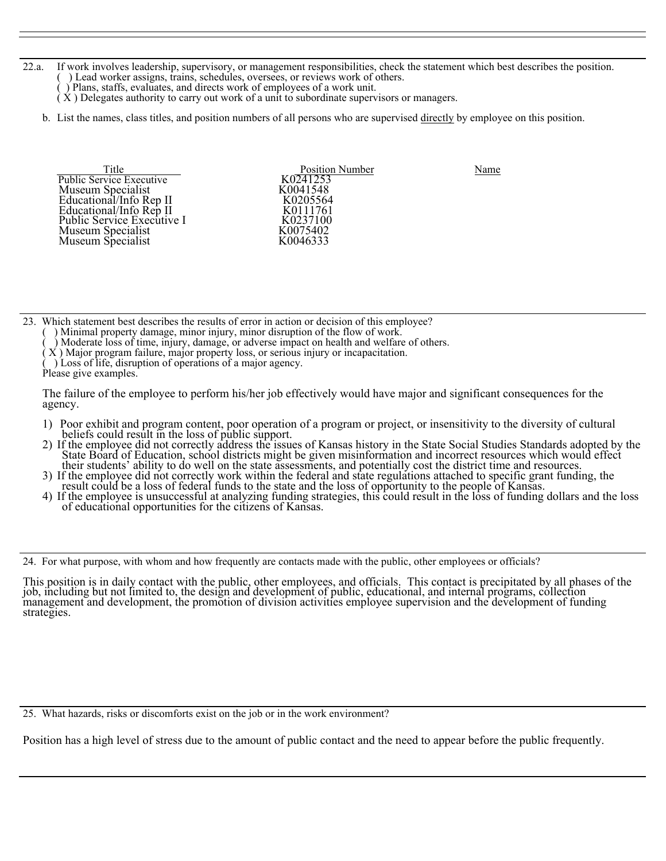- 22.a. If work involves leadership, supervisory, or management responsibilities, check the statement which best describes the position. ( ) Lead worker assigns, trains, schedules, oversees, or reviews work of others.
	- ( ) Plans, staffs, evaluates, and directs work of employees of a work unit.
	- ( X ) Delegates authority to carry out work of a unit to subordinate supervisors or managers.
	- b. List the names, class titles, and position numbers of all persons who are supervised directly by employee on this position.

Title Public Service Executive Rublic Service Executive Rublic Service Executive Rublic Service Rublic Service Rublic Service Rublic Service Rublic Rublic Service Rublic Service Rublic Service Rublic Service Rublic Rublic Museum Specialist<br>
Educational/Info Rep II K0205564<br>
Educational/Info Rep II K0111761 Public Service Executive I K0237100 Museum Specialist<br>Museum Specialist

K0111761<br>K0237100 K0046333

23. Which statement best describes the results of error in action or decision of this employee?

- Minimal property damage, minor injury, minor disruption of the flow of work.
- ( ) Moderate loss of time, injury, damage, or adverse impact on health and welfare of others.
- $(X)$  Major program failure, major property loss, or serious injury or incapacitation.
- ( ) Loss of life, disruption of operations of a major agency.
- Please give examples.

The failure of the employee to perform his/her job effectively would have major and significant consequences for the agency.

- 
- 1) Poor exhibit and program content, poor operation of a program or project, or insensitivity to the diversity of cultural<br>beliefs could result in the loss of public support.<br>2) If the employee did not correctly address th
- 
- 3) If the employee did not correctly work within the federal and state regulations attached to specific grant funding, the result could be a loss of federal funds to the state and the loss of opportunity to the people of K

24. For what purpose, with whom and how frequently are contacts made with the public, other employees or officials?

This position is in daily contact with the public, other employees, and officials. This contact is precipitated by all phases of the job, including but not limited to, the design and development of public, educational, and internal programs, collection<br>management and development, the promotion of division activities employee supervision and the developm

25. What hazards, risks or discomforts exist on the job or in the work environment?

Position has a high level of stress due to the amount of public contact and the need to appear before the public frequently.